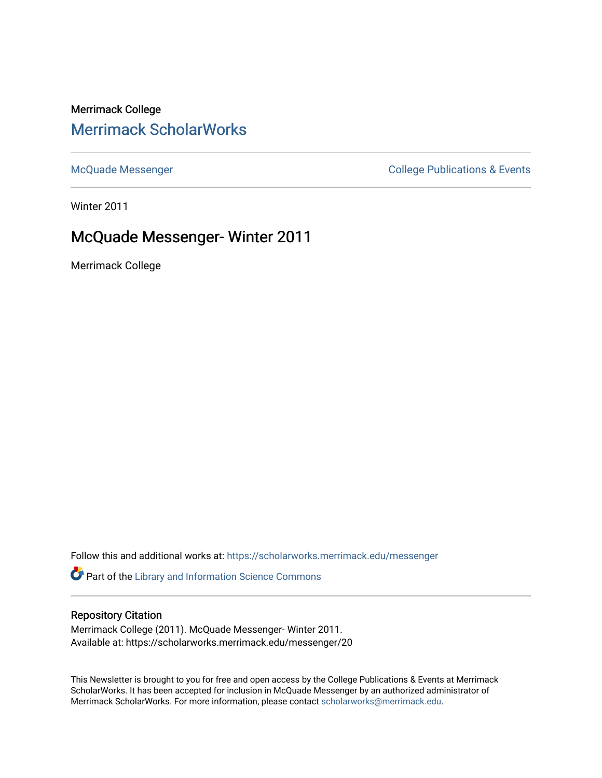## Merrimack College [Merrimack ScholarWorks](https://scholarworks.merrimack.edu/)

[McQuade Messenger](https://scholarworks.merrimack.edu/messenger) College Publications & Events

Winter 2011

# McQuade Messenger- Winter 2011

Merrimack College

Follow this and additional works at: [https://scholarworks.merrimack.edu/messenger](https://scholarworks.merrimack.edu/messenger?utm_source=scholarworks.merrimack.edu%2Fmessenger%2F20&utm_medium=PDF&utm_campaign=PDFCoverPages) 

Part of the [Library and Information Science Commons](http://network.bepress.com/hgg/discipline/1018?utm_source=scholarworks.merrimack.edu%2Fmessenger%2F20&utm_medium=PDF&utm_campaign=PDFCoverPages) 

### Repository Citation

Merrimack College (2011). McQuade Messenger- Winter 2011. Available at: https://scholarworks.merrimack.edu/messenger/20

This Newsletter is brought to you for free and open access by the College Publications & Events at Merrimack ScholarWorks. It has been accepted for inclusion in McQuade Messenger by an authorized administrator of Merrimack ScholarWorks. For more information, please contact [scholarworks@merrimack.edu](mailto:scholarworks@merrimack.edu).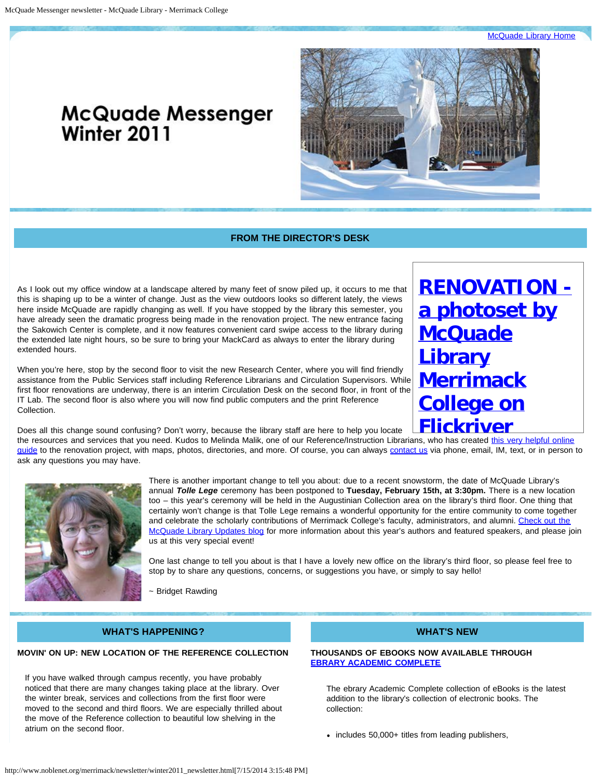**[McQuade Library Home](http://www.noblenet.org/merrimack/)** 

# **McQuade Messenger** Winter 2011



### **FROM THE DIRECTOR'S DESK**

<span id="page-1-0"></span>As I look out my office window at a landscape altered by many feet of snow piled up, it occurs to me that this is shaping up to be a winter of change. Just as the view outdoors looks so different lately, the views here inside McQuade are rapidly changing as well. If you have stopped by the library this semester, you have already seen the dramatic progress being made in the renovation project. The new entrance facing the Sakowich Center is complete, and it now features convenient card swipe access to the library during the extended late night hours, so be sure to bring your MackCard as always to enter the library during extended hours.

When you're here, stop by the second floor to visit the new Research Center, where you will find friendly assistance from the Public Services staff including Reference Librarians and Circulation Supervisors. While first floor renovations are underway, there is an interim Circulation Desk on the second floor, in front of the IT Lab. The second floor is also where you will now find public computers and the print Reference Collection.

**[RENOVATION](http://www.flickriver.com/photos/mcquade/sets/72157625824240592/)  [a photoset by](http://www.flickriver.com/photos/mcquade/sets/72157625824240592/) [McQuade](http://www.flickriver.com/photos/mcquade/sets/72157625824240592/) [Library](http://www.flickriver.com/photos/mcquade/sets/72157625824240592/) [Merrimack](http://www.flickriver.com/photos/mcquade/sets/72157625824240592/) [College on](http://www.flickriver.com/photos/mcquade/sets/72157625824240592/) [Flickriver](http://www.flickriver.com/photos/mcquade/sets/72157625824240592/)**

Does all this change sound confusing? Don't worry, because the library staff are here to help you locate

the resources and services that you need. Kudos to Melinda Malik, one of our Reference/Instruction Librarians, who has created [this very helpful online](http://libguides.merrimack.edu/content.php?pid=178930) [guide](http://libguides.merrimack.edu/content.php?pid=178930) to the renovation project, with maps, photos, directories, and more. Of course, you can always [contact us](http://www.noblenet.org/merrimack/contact.htm) via phone, email, IM, text, or in person to ask any questions you may have.



There is another important change to tell you about: due to a recent snowstorm, the date of McQuade Library's annual *Tolle Lege* ceremony has been postponed to **Tuesday, February 15th, at 3:30pm.** There is a new location too – this year's ceremony will be held in the Augustinian Collection area on the library's third floor. One thing that certainly won't change is that Tolle Lege remains a wonderful opportunity for the entire community to come together and celebrate the scholarly contributions of Merrimack College's faculty, administrators, and alumni. [Check out the](http://server1.noblenet.org/merrimack/blog1/events/tolle-lege/) [McQuade Library Updates blog](http://server1.noblenet.org/merrimack/blog1/events/tolle-lege/) for more information about this year's authors and featured speakers, and please join us at this very special event!

One last change to tell you about is that I have a lovely new office on the library's third floor, so please feel free to stop by to share any questions, concerns, or suggestions you have, or simply to say hello!

~ Bridget Rawding

### **WHAT'S HAPPENING?**

#### **MOVIN' ON UP: NEW LOCATION OF THE REFERENCE COLLECTION**

If you have walked through campus recently, you have probably noticed that there are many changes taking place at the library. Over the winter break, services and collections from the first floor were moved to the second and third floors. We are especially thrilled about the move of the Reference collection to beautiful low shelving in the atrium on the second floor.

### **WHAT'S NEW**

#### **THOUSANDS OF EBOOKS NOW AVAILABLE THROUGH [EBRARY ACADEMIC COMPLETE](http://proxy3.noblenet.org/login?url=http://site.ebrary.com/lib/merrimack/home.action)**

The ebrary Academic Complete collection of eBooks is the latest addition to the library's collection of electronic books. The collection:

• includes 50,000+ titles from leading publishers,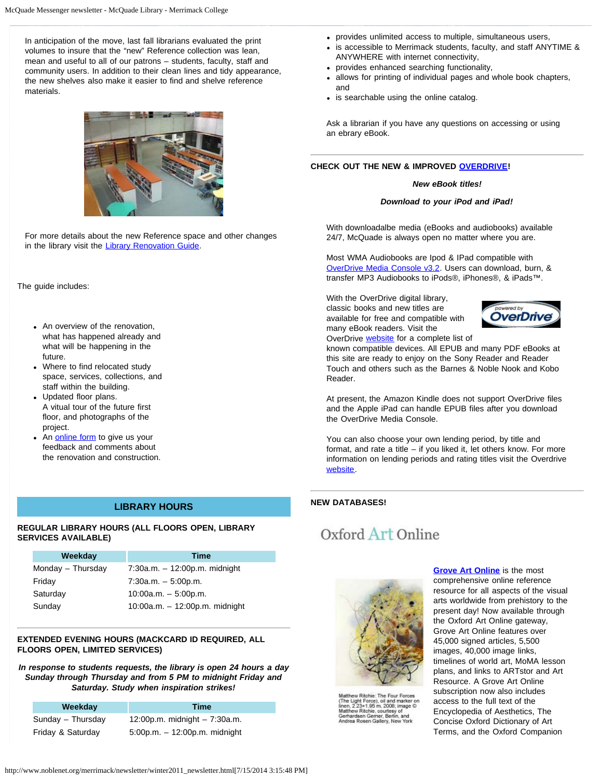In anticipation of the move, last fall librarians evaluated the print volumes to insure that the "new" Reference collection was lean, mean and useful to all of our patrons – students, faculty, staff and community users. In addition to their clean lines and tidy appearance, the new shelves also make it easier to find and shelve reference materials.



For more details about the new Reference space and other changes in the library visit the [Library Renovation Guide](http://libguides.merrimack.edu/content.php?pid=178930).

The guide includes:

- An overview of the renovation, what has happened already and what will be happening in the future.
- Where to find relocated study space, services, collections, and staff within the building.
- Updated floor plans. A vitual tour of the future first floor, and photographs of the project.
- An [online form](http://libguides.merrimack.edu/content.php?pid=178930&sid=1505677) to give us your feedback and comments about the renovation and construction.

#### **LIBRARY HOURS**

#### **REGULAR LIBRARY HOURS (ALL FLOORS OPEN, LIBRARY SERVICES AVAILABLE)**

| Weekday           | Time                             |
|-------------------|----------------------------------|
| Monday - Thursday | $7:30a.m. - 12:00p.m.$ midnight  |
| Friday            | $7:30a.m. - 5:00p.m.$            |
| Saturday          | $10:00a.m. - 5:00p.m.$           |
| Sunday            | $10:00a.m. - 12:00p.m.$ midnight |

#### **EXTENDED EVENING HOURS (MACKCARD ID REQUIRED, ALL FLOORS OPEN, LIMITED SERVICES)**

*In response to students requests, the library is open 24 hours a day Sunday through Thursday and from 5 PM to midnight Friday and Saturday. Study when inspiration strikes!*

| Weekday           | Time                               |
|-------------------|------------------------------------|
| Sunday - Thursday | 12:00p.m. midnight $-7:30a.m.$     |
| Friday & Saturday | $5:00$ p.m. $-12:00$ p.m. midnight |

- provides unlimited access to multiple, simultaneous users,
- is accessible to Merrimack students, faculty, and staff ANYTIME & ANYWHERE with internet connectivity,
- provides enhanced searching functionality,
- allows for printing of individual pages and whole book chapters, and
- is searchable using the online catalog.

Ask a librarian if you have any questions on accessing or using an ebrary eBook.

#### **CHECK OUT THE NEW & IMPROVED [OVERDRIVE](http://noble.lib.overdrive.com/)!**

#### *New eBook titles!*

#### *Download to your iPod and iPad!*

With downloadalbe media (eBooks and audiobooks) available 24/7, McQuade is always open no matter where you are.

Most WMA Audiobooks are Ipod & IPad compatible with [OverDrive Media Console v3.2](http://noble.lib.overdrive.com/63293E68-3DD6-40DA-84A8-06F076140710/10/497/en/Help-Reader-Format25.htm). Users can download, burn, & transfer MP3 Audiobooks to iPods®, iPhones®, & iPads™.

With the OverDrive digital library, classic books and new titles are available for free and compatible with many eBook readers. Visit the OverDrive **website** for a complete list of



known compatible devices. All EPUB and many PDF eBooks at this site are ready to enjoy on the Sony Reader and Reader Touch and others such as the Barnes & Noble Nook and Kobo Reader.

At present, the Amazon Kindle does not support OverDrive files and the Apple iPad can handle EPUB files after you download the OverDrive Media Console.

You can also choose your own lending period, by title and format, and rate a title – if you liked it, let others know. For more information on lending periods and rating titles visit the Overdrive [website.](http://noble.lib.overdrive.com/63293E68-3DD6-40DA-84A8-06F076140710/10/497/en/Help-Policies-Borrowing.htm)

#### **NEW DATABASES!**

# Oxford Art Online



wastrew twains: The Ford Tourist<br>The Light Force), oil and marker on<br>tinen, 2.23×1.95 m, 2008; image ©<br>Matthew Ritchie, courtesy of<br>Gerhardsen Gerner, Berlin, and<br>Andrea Rosen Gallery, New York

**[Grove Art Online](http://proxy3.noblenet.org/login?url=http://www.oxfordartonline.com/)** is the most comprehensive online reference resource for all aspects of the visual arts worldwide from prehistory to the present day! Now available through the Oxford Art Online gateway, Grove Art Online features over 45,000 signed articles, 5,500 images, 40,000 image links, timelines of world art, MoMA lesson plans, and links to ARTstor and Art Resource. A Grove Art Online subscription now also includes access to the full text of the Encyclopedia of Aesthetics, The Concise Oxford Dictionary of Art Terms, and the Oxford Companion